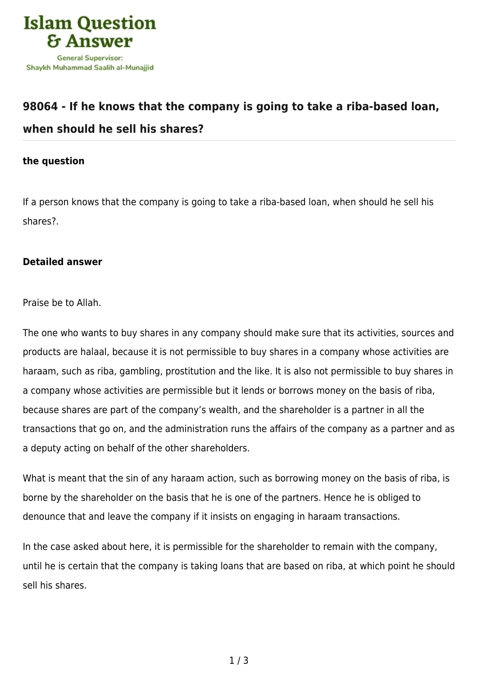

## **[98064 - If he knows that the company is going to take a riba-based loan,](https://islamqa.ws/en/answers/98064/if-he-knows-that-the-company-is-going-to-take-a-riba-based-loan-when-should-he-sell-his-shares) [when should he sell his shares?](https://islamqa.ws/en/answers/98064/if-he-knows-that-the-company-is-going-to-take-a-riba-based-loan-when-should-he-sell-his-shares)**

## **the question**

If a person knows that the company is going to take a riba-based loan, when should he sell his shares?.

## **Detailed answer**

Praise be to Allah.

The one who wants to buy shares in any company should make sure that its activities, sources and products are halaal, because it is not permissible to buy shares in a company whose activities are haraam, such as riba, gambling, prostitution and the like. It is also not permissible to buy shares in a company whose activities are permissible but it lends or borrows money on the basis of riba, because shares are part of the company's wealth, and the shareholder is a partner in all the transactions that go on, and the administration runs the affairs of the company as a partner and as a deputy acting on behalf of the other shareholders.

What is meant that the sin of any haraam action, such as borrowing money on the basis of riba, is borne by the shareholder on the basis that he is one of the partners. Hence he is obliged to denounce that and leave the company if it insists on engaging in haraam transactions.

In the case asked about here, it is permissible for the shareholder to remain with the company, until he is certain that the company is taking loans that are based on riba, at which point he should sell his shares.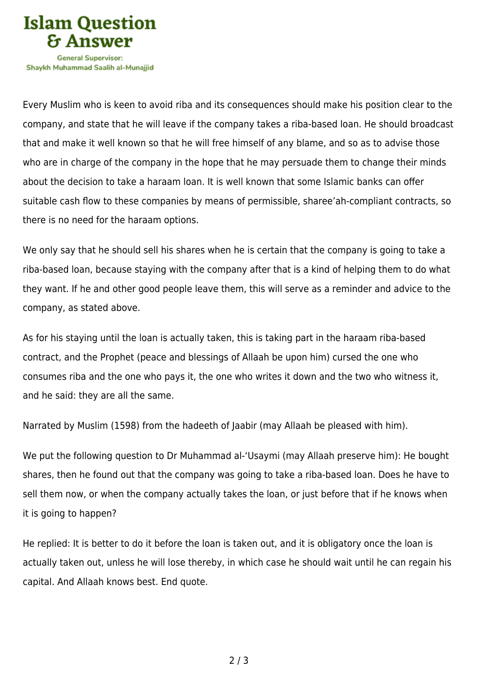

Every Muslim who is keen to avoid riba and its consequences should make his position clear to the company, and state that he will leave if the company takes a riba-based loan. He should broadcast that and make it well known so that he will free himself of any blame, and so as to advise those who are in charge of the company in the hope that he may persuade them to change their minds about the decision to take a haraam loan. It is well known that some Islamic banks can offer suitable cash flow to these companies by means of permissible, sharee'ah-compliant contracts, so there is no need for the haraam options.

We only say that he should sell his shares when he is certain that the company is going to take a riba-based loan, because staying with the company after that is a kind of helping them to do what they want. If he and other good people leave them, this will serve as a reminder and advice to the company, as stated above.

As for his staying until the loan is actually taken, this is taking part in the haraam riba-based contract, and the Prophet (peace and blessings of Allaah be upon him) cursed the one who consumes riba and the one who pays it, the one who writes it down and the two who witness it, and he said: they are all the same.

Narrated by Muslim (1598) from the hadeeth of Jaabir (may Allaah be pleased with him).

We put the following question to Dr Muhammad al-'Usaymi (may Allaah preserve him): He bought shares, then he found out that the company was going to take a riba-based loan. Does he have to sell them now, or when the company actually takes the loan, or just before that if he knows when it is going to happen?

He replied: It is better to do it before the loan is taken out, and it is obligatory once the loan is actually taken out, unless he will lose thereby, in which case he should wait until he can regain his capital. And Allaah knows best. End quote.